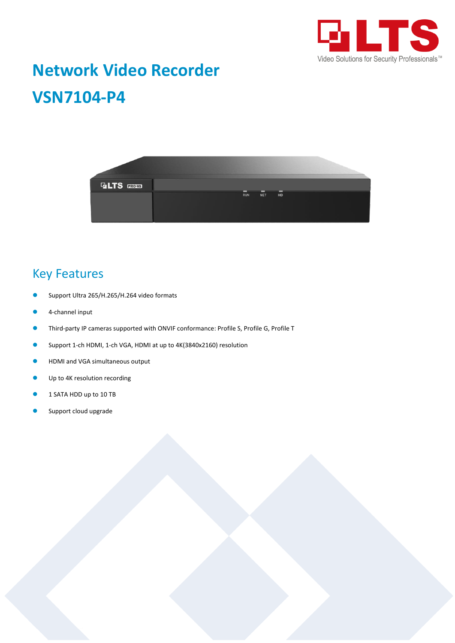

# **Network Video Recorder VSN7104-P4**



### Key Features

- Support Ultra 265/H.265/H.264 video formats
- 4-channel input
- **Third-party IP cameras supported with ONVIF conformance: Profile S, Profile G, Profile T**
- Support 1-ch HDMI, 1-ch VGA, HDMI at up to 4K(3840x2160) resolution
- **HDMI and VGA simultaneous output**
- **Up to 4K resolution recording**
- 1 SATA HDD up to 10 TB
- Support cloud upgrade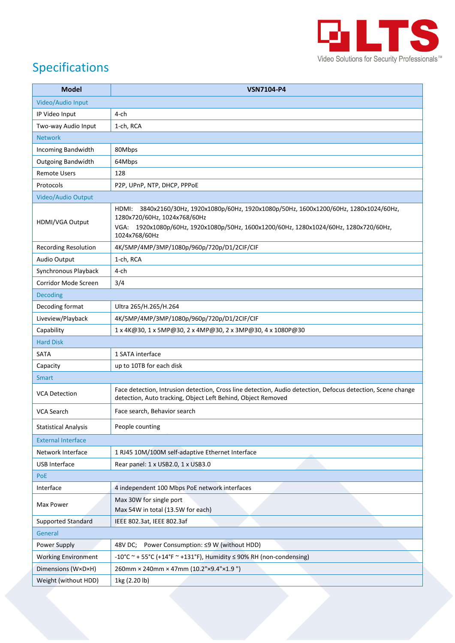

## Specifications

| <b>Model</b>                | <b>VSN7104-P4</b>                                                                                                                                                           |
|-----------------------------|-----------------------------------------------------------------------------------------------------------------------------------------------------------------------------|
| Video/Audio Input           |                                                                                                                                                                             |
| IP Video Input              | $4$ -ch                                                                                                                                                                     |
| Two-way Audio Input         | 1-ch, RCA                                                                                                                                                                   |
| <b>Network</b>              |                                                                                                                                                                             |
| Incoming Bandwidth          | 80Mbps                                                                                                                                                                      |
| <b>Outgoing Bandwidth</b>   | 64Mbps                                                                                                                                                                      |
| <b>Remote Users</b>         | 128                                                                                                                                                                         |
| Protocols                   | P2P, UPnP, NTP, DHCP, PPPoE                                                                                                                                                 |
| Video/Audio Output          |                                                                                                                                                                             |
| HDMI/VGA Output             | HDMI: 3840x2160/30Hz, 1920x1080p/60Hz, 1920x1080p/50Hz, 1600x1200/60Hz, 1280x1024/60Hz,<br>1280x720/60Hz, 1024x768/60Hz                                                     |
|                             | VGA: 1920x1080p/60Hz, 1920x1080p/50Hz, 1600x1200/60Hz, 1280x1024/60Hz, 1280x720/60Hz,<br>1024x768/60Hz                                                                      |
| <b>Recording Resolution</b> | 4K/5MP/4MP/3MP/1080p/960p/720p/D1/2CIF/CIF                                                                                                                                  |
| Audio Output                | 1-ch, RCA                                                                                                                                                                   |
| Synchronous Playback        | 4-ch                                                                                                                                                                        |
| Corridor Mode Screen        | 3/4                                                                                                                                                                         |
| <b>Decoding</b>             |                                                                                                                                                                             |
| Decoding format             | Ultra 265/H.265/H.264                                                                                                                                                       |
| Liveview/Playback           | 4K/5MP/4MP/3MP/1080p/960p/720p/D1/2CIF/CIF                                                                                                                                  |
| Capability                  | 1 x 4K@30, 1 x 5MP@30, 2 x 4MP@30, 2 x 3MP@30, 4 x 1080P@30                                                                                                                 |
| <b>Hard Disk</b>            |                                                                                                                                                                             |
| SATA                        | 1 SATA interface                                                                                                                                                            |
| Capacity                    | up to 10TB for each disk                                                                                                                                                    |
| <b>Smart</b>                |                                                                                                                                                                             |
| <b>VCA Detection</b>        | Face detection, Intrusion detection, Cross line detection, Audio detection, Defocus detection, Scene change<br>detection, Auto tracking, Object Left Behind, Object Removed |
| VCA Search                  | Face search, Behavior search                                                                                                                                                |
| <b>Statistical Analysis</b> | People counting                                                                                                                                                             |
| <b>External Interface</b>   |                                                                                                                                                                             |
| Network Interface           | 1 RJ45 10M/100M self-adaptive Ethernet Interface                                                                                                                            |
| <b>USB Interface</b>        | Rear panel: 1 x USB2.0, 1 x USB3.0                                                                                                                                          |
| PoE                         |                                                                                                                                                                             |
| Interface                   | 4 independent 100 Mbps PoE network interfaces                                                                                                                               |
| Max Power                   | Max 30W for single port<br>Max 54W in total (13.5W for each)                                                                                                                |
| <b>Supported Standard</b>   | IEEE 802.3at, IEEE 802.3af                                                                                                                                                  |
| General                     |                                                                                                                                                                             |
| Power Supply                | Power Consumption: ≤9 W (without HDD)<br>48V DC;                                                                                                                            |
| <b>Working Environment</b>  | -10°C ~ + 55°C (+14°F ~ +131°F), Humidity $\leq$ 90% RH (non-condensing)                                                                                                    |
| Dimensions (W×D×H)          | 260mm × 240mm × 47mm (10.2"×9.4"×1.9")                                                                                                                                      |
| Weight (without HDD)        | 1kg (2.20 lb)                                                                                                                                                               |